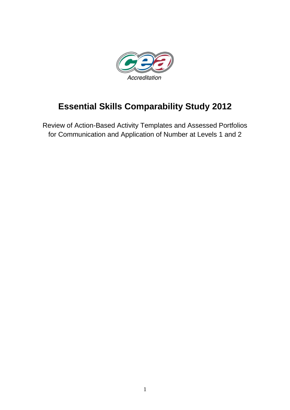

# **Essential Skills Comparability Study 2012**

Review of Action-Based Activity Templates and Assessed Portfolios for Communication and Application of Number at Levels 1 and 2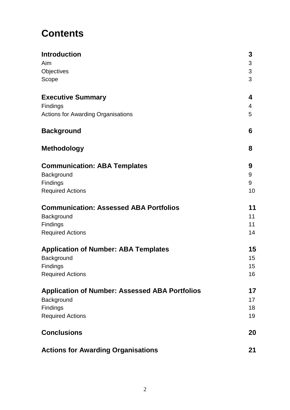# **Contents**

| <b>Introduction</b><br>Aim<br>Objectives<br>Scope     | 3<br>3<br>3<br>3 |
|-------------------------------------------------------|------------------|
|                                                       |                  |
| Findings                                              | 4                |
| <b>Actions for Awarding Organisations</b>             | 5                |
| <b>Background</b>                                     | 6                |
| <b>Methodology</b>                                    | 8                |
| <b>Communication: ABA Templates</b>                   | 9                |
| Background                                            | 9                |
| Findings                                              | 9                |
| <b>Required Actions</b>                               | 10               |
| <b>Communication: Assessed ABA Portfolios</b>         | 11               |
| Background                                            | 11               |
| Findings                                              | 11               |
| <b>Required Actions</b>                               | 14               |
| <b>Application of Number: ABA Templates</b>           | 15               |
| Background                                            | 15               |
| Findings                                              | 15               |
| <b>Required Actions</b>                               | 16               |
| <b>Application of Number: Assessed ABA Portfolios</b> | 17               |
| Background                                            | 17               |
| Findings                                              | 18               |
| <b>Required Actions</b>                               | 19               |
| <b>Conclusions</b>                                    | 20               |
| <b>Actions for Awarding Organisations</b>             | 21               |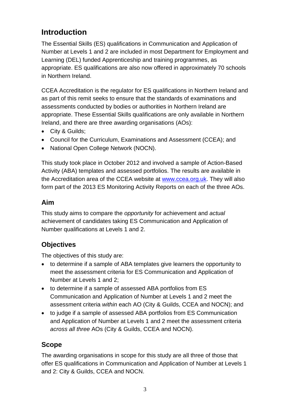# **Introduction**

The Essential Skills (ES) qualifications in Communication and Application of Number at Levels 1 and 2 are included in most Department for Employment and Learning (DEL) funded Apprenticeship and training programmes, as appropriate. ES qualifications are also now offered in approximately 70 schools in Northern Ireland.

CCEA Accreditation is the regulator for ES qualifications in Northern Ireland and as part of this remit seeks to ensure that the standards of examinations and assessments conducted by bodies or authorities in Northern Ireland are appropriate. These Essential Skills qualifications are only available in Northern Ireland, and there are three awarding organisations (AOs):

- City & Guilds;
- Council for the Curriculum, Examinations and Assessment (CCEA); and
- National Open College Network (NOCN).

This study took place in October 2012 and involved a sample of Action-Based Activity (ABA) templates and assessed portfolios. The results are available in the Accreditation area of the CCEA website at [www.ccea.org.uk.](http://www.ccea.org.uk/) They will also form part of the 2013 ES Monitoring Activity Reports on each of the three AOs.

### **Aim**

This study aims to compare the *opportunity* for achievement and *actual* achievement of candidates taking ES Communication and Application of Number qualifications at Levels 1 and 2.

### **Objectives**

The objectives of this study are:

- to determine if a sample of ABA templates give learners the opportunity to meet the assessment criteria for ES Communication and Application of Number at Levels 1 and 2;
- to determine if a sample of assessed ABA portfolios from ES Communication and Application of Number at Levels 1 and 2 meet the assessment criteria *within* each AO (City & Guilds, CCEA and NOCN); and
- to judge if a sample of assessed ABA portfolios from ES Communication and Application of Number at Levels 1 and 2 meet the assessment criteria *across all three* AOs (City & Guilds, CCEA and NOCN).

### **Scope**

The awarding organisations in scope for this study are all three of those that offer ES qualifications in Communication and Application of Number at Levels 1 and 2: City & Guilds, CCEA and NOCN.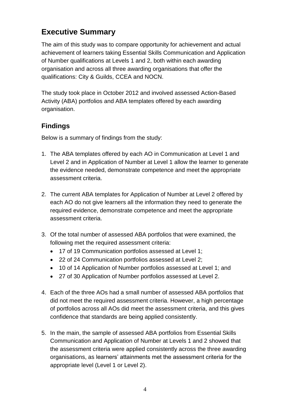# **Executive Summary**

The aim of this study was to compare opportunity for achievement and actual achievement of learners taking Essential Skills Communication and Application of Number qualifications at Levels 1 and 2, both within each awarding organisation and across all three awarding organisations that offer the qualifications: City & Guilds, CCEA and NOCN.

The study took place in October 2012 and involved assessed Action-Based Activity (ABA) portfolios and ABA templates offered by each awarding organisation.

### **Findings**

Below is a summary of findings from the study:

- 1. The ABA templates offered by each AO in Communication at Level 1 and Level 2 and in Application of Number at Level 1 allow the learner to generate the evidence needed, demonstrate competence and meet the appropriate assessment criteria.
- 2. The current ABA templates for Application of Number at Level 2 offered by each AO do not give learners all the information they need to generate the required evidence, demonstrate competence and meet the appropriate assessment criteria.
- 3. Of the total number of assessed ABA portfolios that were examined, the following met the required assessment criteria:
	- 17 of 19 Communication portfolios assessed at Level 1;
	- 22 of 24 Communication portfolios assessed at Level 2;
	- 10 of 14 Application of Number portfolios assessed at Level 1; and
	- 27 of 30 Application of Number portfolios assessed at Level 2.
- 4. Each of the three AOs had a small number of assessed ABA portfolios that did not meet the required assessment criteria. However, a high percentage of portfolios across all AOs did meet the assessment criteria, and this gives confidence that standards are being applied consistently.
- 5. In the main, the sample of assessed ABA portfolios from Essential Skills Communication and Application of Number at Levels 1 and 2 showed that the assessment criteria were applied consistently across the three awarding organisations, as learners' attainments met the assessment criteria for the appropriate level (Level 1 or Level 2).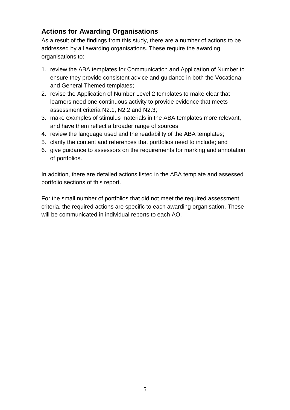### **Actions for Awarding Organisations**

As a result of the findings from this study, there are a number of actions to be addressed by all awarding organisations. These require the awarding organisations to:

- 1. review the ABA templates for Communication and Application of Number to ensure they provide consistent advice and guidance in both the Vocational and General Themed templates;
- 2. revise the Application of Number Level 2 templates to make clear that learners need one continuous activity to provide evidence that meets assessment criteria N2.1, N2.2 and N2.3;
- 3. make examples of stimulus materials in the ABA templates more relevant, and have them reflect a broader range of sources;
- 4. review the language used and the readability of the ABA templates;
- 5. clarify the content and references that portfolios need to include; and
- 6. give guidance to assessors on the requirements for marking and annotation of portfolios.

In addition, there are detailed actions listed in the ABA template and assessed portfolio sections of this report.

For the small number of portfolios that did not meet the required assessment criteria, the required actions are specific to each awarding organisation. These will be communicated in individual reports to each AO.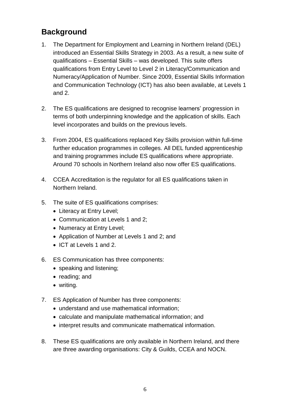## **Background**

- 1. The Department for Employment and Learning in Northern Ireland (DEL) introduced an Essential Skills Strategy in 2003. As a result, a new suite of qualifications – Essential Skills – was developed. This suite offers qualifications from Entry Level to Level 2 in Literacy/Communication and Numeracy/Application of Number. Since 2009, Essential Skills Information and Communication Technology (ICT) has also been available, at Levels 1 and 2.
- 2. The ES qualifications are designed to recognise learners' progression in terms of both underpinning knowledge and the application of skills. Each level incorporates and builds on the previous levels.
- 3. From 2004, ES qualifications replaced Key Skills provision within full-time further education programmes in colleges. All DEL funded apprenticeship and training programmes include ES qualifications where appropriate. Around 70 schools in Northern Ireland also now offer ES qualifications.
- 4. CCEA Accreditation is the regulator for all ES qualifications taken in Northern Ireland.
- 5. The suite of ES qualifications comprises:
	- Literacy at Entry Level;
	- Communication at Levels 1 and 2;
	- Numeracy at Entry Level;
	- Application of Number at Levels 1 and 2; and
	- ICT at Levels 1 and 2.
- 6. ES Communication has three components:
	- speaking and listening;
	- reading; and
	- writing.
- 7. ES Application of Number has three components:
	- understand and use mathematical information;
	- calculate and manipulate mathematical information; and
	- interpret results and communicate mathematical information.
- 8. These ES qualifications are only available in Northern Ireland, and there are three awarding organisations: City & Guilds, CCEA and NOCN.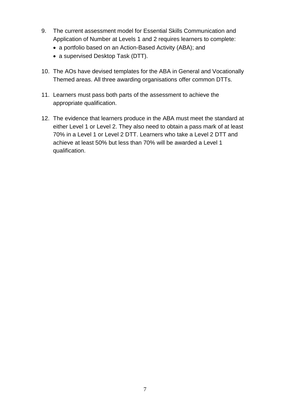- 9. The current assessment model for Essential Skills Communication and Application of Number at Levels 1 and 2 requires learners to complete:
	- a portfolio based on an Action-Based Activity (ABA); and
	- a supervised Desktop Task (DTT).
- 10. The AOs have devised templates for the ABA in General and Vocationally Themed areas. All three awarding organisations offer common DTTs.
- 11. Learners must pass both parts of the assessment to achieve the appropriate qualification.
- 12. The evidence that learners produce in the ABA must meet the standard at either Level 1 or Level 2. They also need to obtain a pass mark of at least 70% in a Level 1 or Level 2 DTT. Learners who take a Level 2 DTT and achieve at least 50% but less than 70% will be awarded a Level 1 qualification.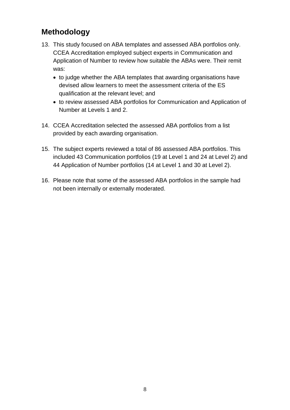## **Methodology**

- 13. This study focused on ABA templates and assessed ABA portfolios only. CCEA Accreditation employed subject experts in Communication and Application of Number to review how suitable the ABAs were. Their remit was:
	- to judge whether the ABA templates that awarding organisations have devised allow learners to meet the assessment criteria of the ES qualification at the relevant level; and
	- to review assessed ABA portfolios for Communication and Application of Number at Levels 1 and 2.
- 14. CCEA Accreditation selected the assessed ABA portfolios from a list provided by each awarding organisation.
- 15. The subject experts reviewed a total of 86 assessed ABA portfolios. This included 43 Communication portfolios (19 at Level 1 and 24 at Level 2) and 44 Application of Number portfolios (14 at Level 1 and 30 at Level 2).
- 16. Please note that some of the assessed ABA portfolios in the sample had not been internally or externally moderated.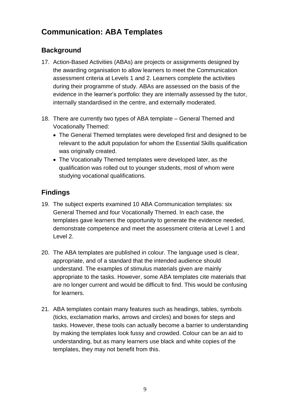# **Communication: ABA Templates**

### **Background**

- 17. Action-Based Activities (ABAs) are projects or assignments designed by the awarding organisation to allow learners to meet the Communication assessment criteria at Levels 1 and 2. Learners complete the activities during their programme of study. ABAs are assessed on the basis of the evidence in the learner's portfolio: they are internally assessed by the tutor, internally standardised in the centre, and externally moderated.
- 18. There are currently two types of ABA template General Themed and Vocationally Themed:
	- The General Themed templates were developed first and designed to be relevant to the adult population for whom the Essential Skills qualification was originally created.
	- The Vocationally Themed templates were developed later, as the qualification was rolled out to younger students, most of whom were studying vocational qualifications.

### **Findings**

- 19. The subject experts examined 10 ABA Communication templates: six General Themed and four Vocationally Themed. In each case, the templates gave learners the opportunity to generate the evidence needed, demonstrate competence and meet the assessment criteria at Level 1 and Level 2.
- 20. The ABA templates are published in colour. The language used is clear, appropriate, and of a standard that the intended audience should understand. The examples of stimulus materials given are mainly appropriate to the tasks. However, some ABA templates cite materials that are no longer current and would be difficult to find. This would be confusing for learners.
- 21. ABA templates contain many features such as headings, tables, symbols (ticks, exclamation marks, arrows and circles) and boxes for steps and tasks. However, these tools can actually become a barrier to understanding by making the templates look fussy and crowded. Colour can be an aid to understanding, but as many learners use black and white copies of the templates, they may not benefit from this.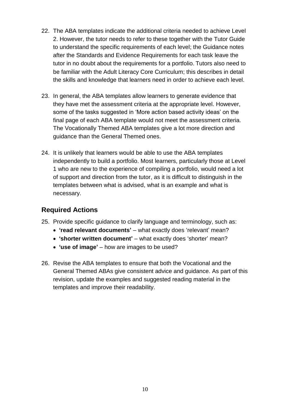- 22. The ABA templates indicate the additional criteria needed to achieve Level 2. However, the tutor needs to refer to these together with the Tutor Guide to understand the specific requirements of each level; the Guidance notes after the Standards and Evidence Requirements for each task leave the tutor in no doubt about the requirements for a portfolio. Tutors also need to be familiar with the Adult Literacy Core Curriculum; this describes in detail the skills and knowledge that learners need in order to achieve each level.
- 23. In general, the ABA templates allow learners to generate evidence that they have met the assessment criteria at the appropriate level. However, some of the tasks suggested in 'More action based activity ideas' on the final page of each ABA template would not meet the assessment criteria. The Vocationally Themed ABA templates give a lot more direction and guidance than the General Themed ones.
- 24. It is unlikely that learners would be able to use the ABA templates independently to build a portfolio. Most learners, particularly those at Level 1 who are new to the experience of compiling a portfolio, would need a lot of support and direction from the tutor, as it is difficult to distinguish in the templates between what is advised, what is an example and what is necessary.

#### **Required Actions**

- 25. Provide specific guidance to clarify language and terminology, such as:
	- **'read relevant documents'** what exactly does 'relevant' mean?
	- **'shorter written document'** what exactly does 'shorter' mean?
	- **'use of image'** how are images to be used?
- 26. Revise the ABA templates to ensure that both the Vocational and the General Themed ABAs give consistent advice and guidance. As part of this revision, update the examples and suggested reading material in the templates and improve their readability.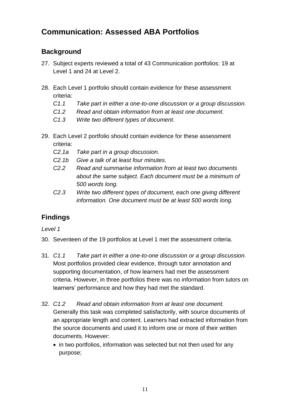# **Communication: Assessed ABA Portfolios**

### **Background**

- 27. Subject experts reviewed a total of 43 Communication portfolios: 19 at Level 1 and 24 at Level 2.
- 28. Each Level 1 portfolio should contain evidence for these assessment criteria:
	- *C1.1 Take part in either a one-to-one discussion or a group discussion.*
	- *C1.2 Read and obtain information from at least one document.*
	- *C1.3 Write two different types of document.*
- 29. Each Level 2 portfolio should contain evidence for these assessment criteria:
	- *C2.1a Take part in a group discussion.*
	- *C2.1b Give a talk of at least four minutes.*
	- *C2.2 Read and summarise information from at least two documents about the same subject. Each document must be a minimum of 500 words long.*
	- *C2.3 Write two different types of document, each one giving different information. One document must be at least 500 words long.*

### **Findings**

*Level 1*

- 30. Seventeen of the 19 portfolios at Level 1 met the assessment criteria.
- 31. *C1.1 Take part in either a one-to-one discussion or a group discussion.* Most portfolios provided clear evidence, through tutor annotation and supporting documentation, of how learners had met the assessment criteria. However, in three portfolios there was no information from tutors on learners' performance and how they had met the standard.
- 32. *C1.2 Read and obtain information from at least one document.* Generally this task was completed satisfactorily, with source documents of an appropriate length and content. Learners had extracted information from the source documents and used it to inform one or more of their written documents. However:
	- in two portfolios, information was selected but not then used for any purpose;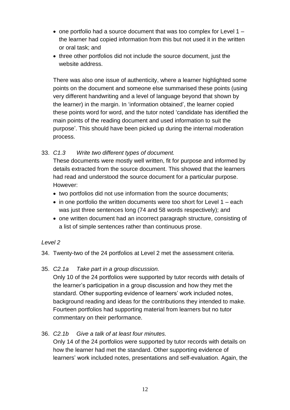- $\bullet$  one portfolio had a source document that was too complex for Level 1 the learner had copied information from this but not used it in the written or oral task; and
- three other portfolios did not include the source document, just the website address.

There was also one issue of authenticity, where a learner highlighted some points on the document and someone else summarised these points (using very different handwriting and a level of language beyond that shown by the learner) in the margin. In 'information obtained', the learner copied these points word for word, and the tutor noted 'candidate has identified the main points of the reading document and used information to suit the purpose'. This should have been picked up during the internal moderation process.

#### 33. *C1.3 Write two different types of document.*

These documents were mostly well written, fit for purpose and informed by details extracted from the source document. This showed that the learners had read and understood the source document for a particular purpose. However:

- two portfolios did not use information from the source documents;
- $\bullet$  in one portfolio the written documents were too short for Level 1 each was just three sentences long (74 and 58 words respectively); and
- one written document had an incorrect paragraph structure, consisting of a list of simple sentences rather than continuous prose.

#### *Level 2*

34. Twenty-two of the 24 portfolios at Level 2 met the assessment criteria.

35. *C2.1a Take part in a group discussion.*

Only 10 of the 24 portfolios were supported by tutor records with details of the learner's participation in a group discussion and how they met the standard. Other supporting evidence of learners' work included notes, background reading and ideas for the contributions they intended to make. Fourteen portfolios had supporting material from learners but no tutor commentary on their performance.

#### 36. *C2.1b Give a talk of at least four minutes.*

Only 14 of the 24 portfolios were supported by tutor records with details on how the learner had met the standard. Other supporting evidence of learners' work included notes, presentations and self-evaluation. Again, the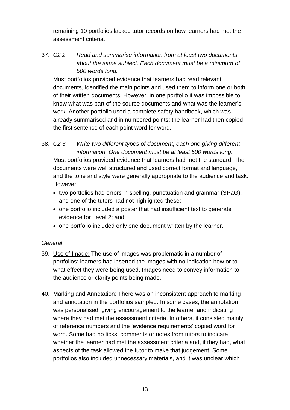remaining 10 portfolios lacked tutor records on how learners had met the assessment criteria.

37. *C2.2 Read and summarise information from at least two documents about the same subject. Each document must be a minimum of 500 words long.* 

Most portfolios provided evidence that learners had read relevant documents, identified the main points and used them to inform one or both of their written documents. However, in one portfolio it was impossible to know what was part of the source documents and what was the learner's work. Another portfolio used a complete safety handbook, which was already summarised and in numbered points; the learner had then copied the first sentence of each point word for word.

38. *C2.3 Write two different types of document, each one giving different information. One document must be at least 500 words long.*  Most portfolios provided evidence that learners had met the standard. The documents were well structured and used correct format and language, and the tone and style were generally appropriate to the audience and task. However:

- two portfolios had errors in spelling, punctuation and grammar (SPaG), and one of the tutors had not highlighted these;
- one portfolio included a poster that had insufficient text to generate evidence for Level 2; and
- one portfolio included only one document written by the learner.

#### *General*

- 39. Use of Image: The use of images was problematic in a number of portfolios; learners had inserted the images with no indication how or to what effect they were being used. Images need to convey information to the audience or clarify points being made.
- 40. Marking and Annotation: There was an inconsistent approach to marking and annotation in the portfolios sampled. In some cases, the annotation was personalised, giving encouragement to the learner and indicating where they had met the assessment criteria. In others, it consisted mainly of reference numbers and the 'evidence requirements' copied word for word. Some had no ticks, comments or notes from tutors to indicate whether the learner had met the assessment criteria and, if they had, what aspects of the task allowed the tutor to make that judgement. Some portfolios also included unnecessary materials, and it was unclear which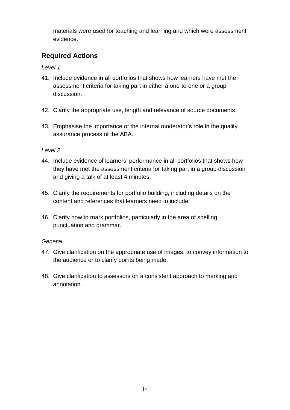materials were used for teaching and learning and which were assessment evidence.

### **Required Actions**

*Level 1* 

- 41. Include evidence in all portfolios that shows how learners have met the assessment criteria for taking part in either a one-to-one or a group discussion.
- 42. Clarify the appropriate use, length and relevance of source documents.
- 43. Emphasise the importance of the internal moderator's role in the quality assurance process of the ABA.

#### *Level 2*

- 44. Include evidence of learners' performance in all portfolios that shows how they have met the assessment criteria for taking part in a group discussion and giving a talk of at least 4 minutes.
- 45. Clarify the requirements for portfolio building, including details on the content and references that learners need to include.
- 46. Clarify how to mark portfolios, particularly in the area of spelling, punctuation and grammar.

#### *General*

- 47. Give clarification on the appropriate use of images: to convey information to the audience or to clarify points being made.
- 48. Give clarification to assessors on a consistent approach to marking and annotation.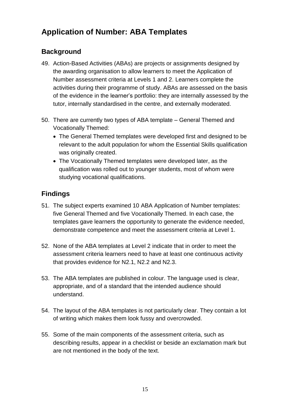# **Application of Number: ABA Templates**

### **Background**

- 49. Action-Based Activities (ABAs) are projects or assignments designed by the awarding organisation to allow learners to meet the Application of Number assessment criteria at Levels 1 and 2. Learners complete the activities during their programme of study. ABAs are assessed on the basis of the evidence in the learner's portfolio: they are internally assessed by the tutor, internally standardised in the centre, and externally moderated.
- 50. There are currently two types of ABA template General Themed and Vocationally Themed:
	- The General Themed templates were developed first and designed to be relevant to the adult population for whom the Essential Skills qualification was originally created.
	- The Vocationally Themed templates were developed later, as the qualification was rolled out to younger students, most of whom were studying vocational qualifications.

### **Findings**

- 51. The subject experts examined 10 ABA Application of Number templates: five General Themed and five Vocationally Themed. In each case, the templates gave learners the opportunity to generate the evidence needed, demonstrate competence and meet the assessment criteria at Level 1.
- 52. None of the ABA templates at Level 2 indicate that in order to meet the assessment criteria learners need to have at least one continuous activity that provides evidence for N2.1, N2.2 and N2.3.
- 53. The ABA templates are published in colour. The language used is clear, appropriate, and of a standard that the intended audience should understand.
- 54. The layout of the ABA templates is not particularly clear. They contain a lot of writing which makes them look fussy and overcrowded.
- 55. Some of the main components of the assessment criteria, such as describing results, appear in a checklist or beside an exclamation mark but are not mentioned in the body of the text.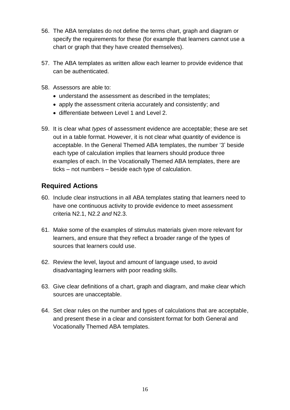- 56. The ABA templates do not define the terms chart, graph and diagram or specify the requirements for these (for example that learners cannot use a chart or graph that they have created themselves).
- 57. The ABA templates as written allow each learner to provide evidence that can be authenticated.
- 58. Assessors are able to:
	- understand the assessment as described in the templates;
	- apply the assessment criteria accurately and consistently; and
	- differentiate between Level 1 and Level 2.
- 59. It is clear what *types* of assessment evidence are acceptable; these are set out in a table format. However, it is not clear what *quantity* of evidence is acceptable. In the General Themed ABA templates, the number '3' beside each type of calculation implies that learners should produce three examples of each. In the Vocationally Themed ABA templates, there are ticks – not numbers – beside each type of calculation.

### **Required Actions**

- 60. Include clear instructions in all ABA templates stating that learners need to have one continuous activity to provide evidence to meet assessment criteria N2.1, N2.2 *and* N2.3.
- 61. Make some of the examples of stimulus materials given more relevant for learners, and ensure that they reflect a broader range of the types of sources that learners could use.
- 62. Review the level, layout and amount of language used, to avoid disadvantaging learners with poor reading skills.
- 63. Give clear definitions of a chart, graph and diagram, and make clear which sources are unacceptable.
- 64. Set clear rules on the number and types of calculations that are acceptable, and present these in a clear and consistent format for both General and Vocationally Themed ABA templates.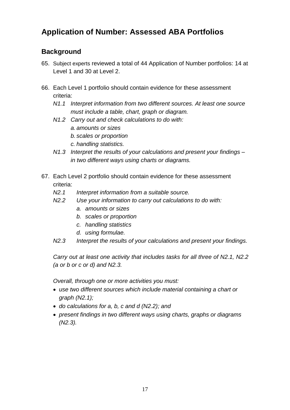# **Application of Number: Assessed ABA Portfolios**

### **Background**

- 65. Subject experts reviewed a total of 44 Application of Number portfolios: 14 at Level 1 and 30 at Level 2.
- 66. Each Level 1 portfolio should contain evidence for these assessment criteria:
	- *N1.1 Interpret information from two different sources. At least one source must include a table, chart, graph or diagram.*
	- *N1.2 Carry out and check calculations to do with:*
		- *a. amounts or sizes*
		- *b. scales or proportion*
		- *c. handling statistics.*
	- *N1.3 Interpret the results of your calculations and present your findings – in two different ways using charts or diagrams.*
- 67. Each Level 2 portfolio should contain evidence for these assessment criteria:
	- *N2.1 Interpret information from a suitable source.*
	- *N2.2 Use your information to carry out calculations to do with:*
		- *a. amounts or sizes*
		- *b. scales or proportion*
		- *c. handling statistics*
		- *d. using formulae.*
	- *N2.3 Interpret the results of your calculations and present your findings.*

*Carry out at least one activity that includes tasks for all three of N2.1, N2.2 (a or b or c or d) and N2.3.*

*Overall, through one or more activities you must:*

- *use two different sources which include material containing a chart or graph (N2.1);*
- *do calculations for a, b, c and d (N2.2); and*
- *present findings in two different ways using charts, graphs or diagrams (N2.3).*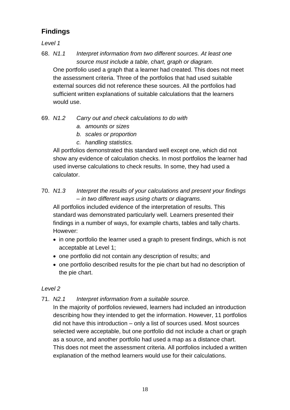### **Findings**

*Level 1*

- 68. *N1.1 Interpret information from two different sources. At least one source must include a table, chart, graph or diagram.*  One portfolio used a graph that a learner had created. This does not meet the assessment criteria. Three of the portfolios that had used suitable external sources did not reference these sources. All the portfolios had sufficient written explanations of suitable calculations that the learners would use.
- 69. *N1.2 Carry out and check calculations to do with* 
	- *a. amounts or sizes*
	- *b. scales or proportion*
	- *c. handling statistics.*

All portfolios demonstrated this standard well except one, which did not show any evidence of calculation checks. In most portfolios the learner had used inverse calculations to check results. In some, they had used a calculator.

#### 70. *N1.3 Interpret the results of your calculations and present your findings – in two different ways using charts or diagrams.*

All portfolios included evidence of the interpretation of results. This standard was demonstrated particularly well. Learners presented their findings in a number of ways, for example charts, tables and tally charts. However:

- in one portfolio the learner used a graph to present findings, which is not acceptable at Level 1;
- one portfolio did not contain any description of results; and
- one portfolio described results for the pie chart but had no description of the pie chart.

#### *Level 2*

#### 71. *N2.1 Interpret information from a suitable source.*

In the majority of portfolios reviewed, learners had included an introduction describing how they intended to get the information. However, 11 portfolios did not have this introduction – only a list of sources used. Most sources selected were acceptable, but one portfolio did not include a chart or graph as a source, and another portfolio had used a map as a distance chart. This does not meet the assessment criteria. All portfolios included a written explanation of the method learners would use for their calculations.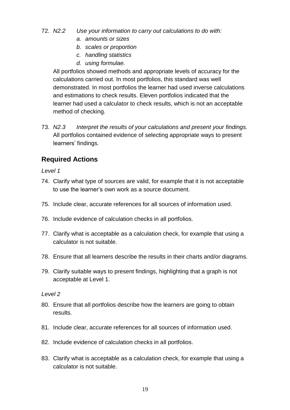- 72. *N2.2 Use your information to carry out calculations to do with:*
	- *a. amounts or sizes*
	- *b. scales or proportion*
	- *c. handling statistics*
	- *d. using formulae.*

All portfolios showed methods and appropriate levels of accuracy for the calculations carried out. In most portfolios, this standard was well demonstrated. In most portfolios the learner had used inverse calculations and estimations to check results. Eleven portfolios indicated that the learner had used a calculator to check results, which is not an acceptable method of checking.

73. *N2.3 Interpret the results of your calculations and present your findings.* All portfolios contained evidence of selecting appropriate ways to present learners' findings.

### **Required Actions**

*Level 1*

- 74. Clarify what type of sources are valid, for example that it is not acceptable to use the learner's own work as a source document.
- 75. Include clear, accurate references for all sources of information used.
- 76. Include evidence of calculation checks in all portfolios.
- 77. Clarify what is acceptable as a calculation check, for example that using a calculator is not suitable.
- 78. Ensure that all learners describe the results in their charts and/or diagrams.
- 79. Clarify suitable ways to present findings, highlighting that a graph is not acceptable at Level 1.

*Level 2*

- 80. Ensure that all portfolios describe how the learners are going to obtain results.
- 81. Include clear, accurate references for all sources of information used.
- 82. Include evidence of calculation checks in all portfolios.
- 83. Clarify what is acceptable as a calculation check, for example that using a calculator is not suitable.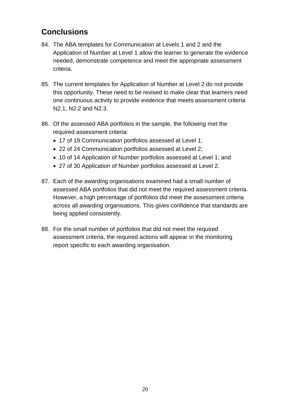# **Conclusions**

- 84. The ABA templates for Communication at Levels 1 and 2 and the Application of Number at Level 1 allow the learner to generate the evidence needed, demonstrate competence and meet the appropriate assessment criteria.
- 85. The current templates for Application of Number at Level 2 do not provide this opportunity. These need to be revised to make clear that learners need one continuous activity to provide evidence that meets assessment criteria N2.1, N2.2 and N2.3.
- 86. Of the assessed ABA portfolios in the sample, the following met the required assessment criteria:
	- 17 of 19 Communication portfolios assessed at Level 1;
	- 22 of 24 Communication portfolios assessed at Level 2;
	- 10 of 14 Application of Number portfolios assessed at Level 1; and
	- 27 of 30 Application of Number portfolios assessed at Level 2.
- 87. Each of the awarding organisations examined had a small number of assessed ABA portfolios that did not meet the required assessment criteria. However, a high percentage of portfolios did meet the assessment criteria across all awarding organisations. This gives confidence that standards are being applied consistently.
- 88. For the small number of portfolios that did not meet the required assessment criteria, the required actions will appear in the monitoring report specific to each awarding organisation.